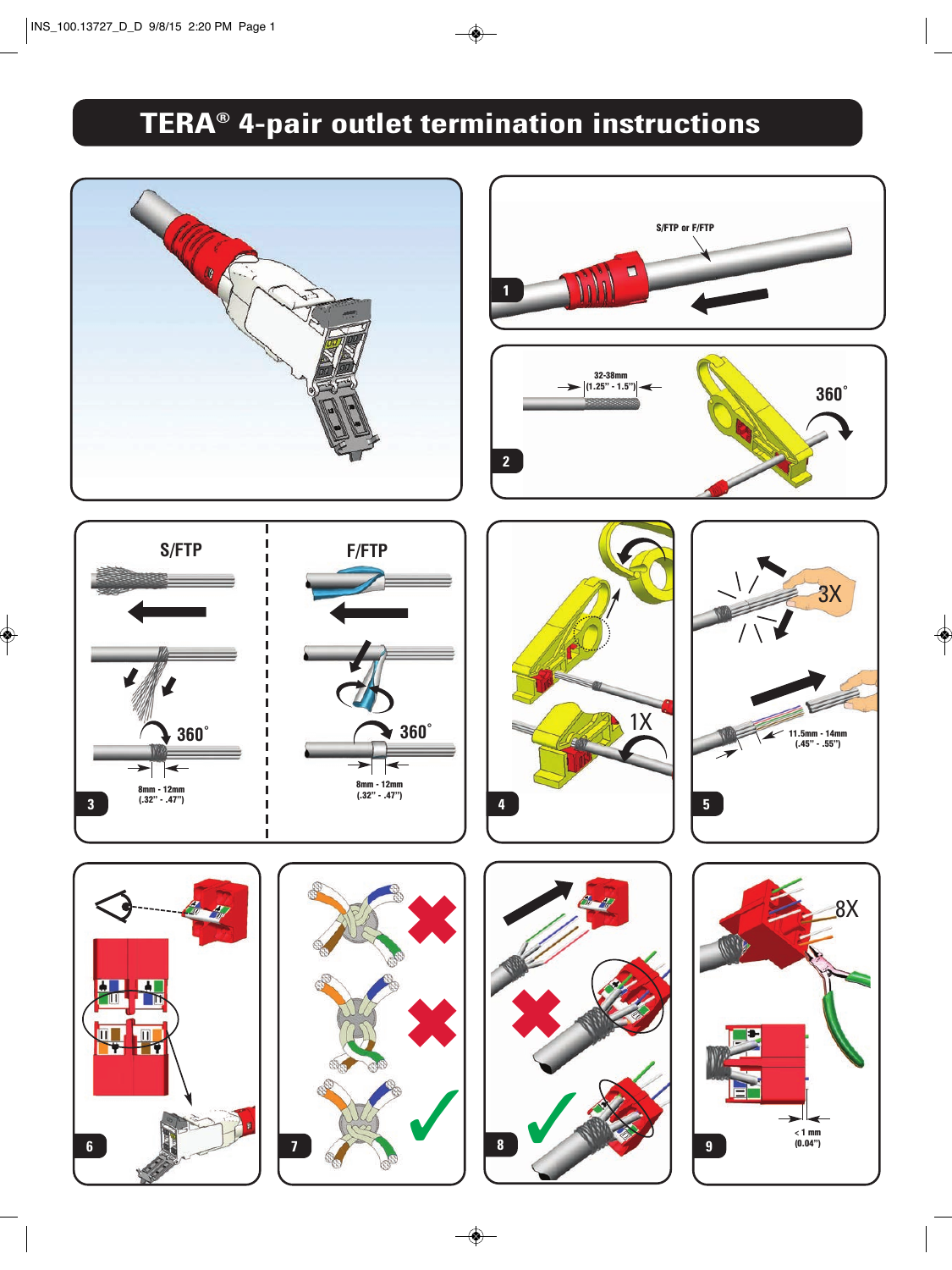# **TERA® 4-pair outlet termination instructions**